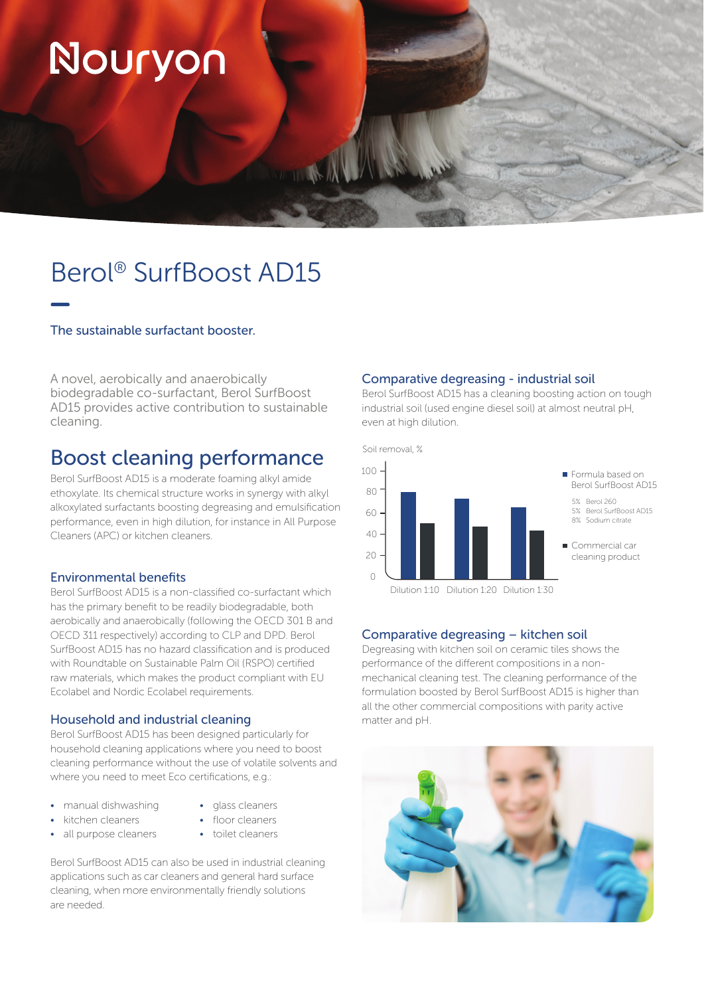# Nouryon

### Berol® SurfBoost AD15

#### The sustainable surfactant booster.

A novel, aerobically and anaerobically biodegradable co-surfactant, Berol SurfBoost AD15 provides active contribution to sustainable cleaning.

### Boost cleaning performance

Berol SurfBoost AD15 is a moderate foaming alkyl amide ethoxylate. Its chemical structure works in synergy with alkyl alkoxylated surfactants boosting degreasing and emulsification performance, even in high dilution, for instance in All Purpose Cleaners (APC) or kitchen cleaners.

#### Environmental benefits

Berol SurfBoost AD15 is a non-classified co-surfactant which has the primary benefit to be readily biodegradable, both aerobically and anaerobically (following the OECD 301 B and OECD 311 respectively) according to CLP and DPD. Berol SurfBoost AD15 has no hazard classification and is produced with Roundtable on Sustainable Palm Oil (RSPO) certified raw materials, which makes the product compliant with EU Ecolabel and Nordic Ecolabel requirements.

#### Household and industrial cleaning

Berol SurfBoost AD15 has been designed particularly for household cleaning applications where you need to boost cleaning performance without the use of volatile solvents and where you need to meet Eco certifications, e.g.:

- manual dishwashing
- glass cleaners
- kitchen cleaners
- floor cleaners
- all purpose cleaners
- toilet cleaners

Berol SurfBoost AD15 can also be used in industrial cleaning applications such as car cleaners and general hard surface cleaning, when more environmentally friendly solutions are needed.

#### Comparative degreasing - industrial soil

Berol SurfBoost AD15 has a cleaning boosting action on tough industrial soil (used engine diesel soil) at almost neutral pH, even at high dilution.



#### Comparative degreasing – kitchen soil

Degreasing with kitchen soil on ceramic tiles shows the performance of the different compositions in a nonmechanical cleaning test. The cleaning performance of the formulation boosted by Berol SurfBoost AD15 is higher than all the other commercial compositions with parity active matter and pH.